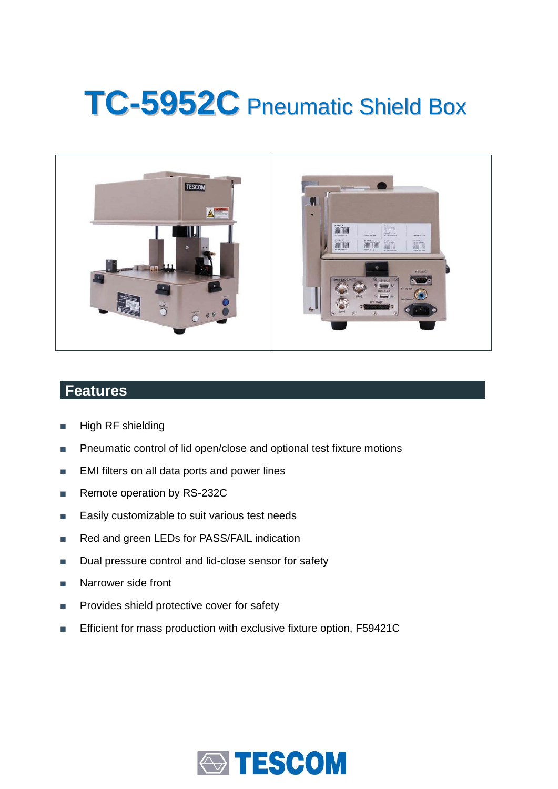# **TC-5952C** Pneumatic Shield Box



### **Features**

- High RF shielding
- Pneumatic control of lid open/close and optional test fixture motions
- EMI filters on all data ports and power lines
- Remote operation by RS-232C
- Easily customizable to suit various test needs
- Red and green LEDs for PASS/FAIL indication
- Dual pressure control and lid-close sensor for safety
- Narrower side front
- Provides shield protective cover for safety
- Efficient for mass production with exclusive fixture option, F59421C

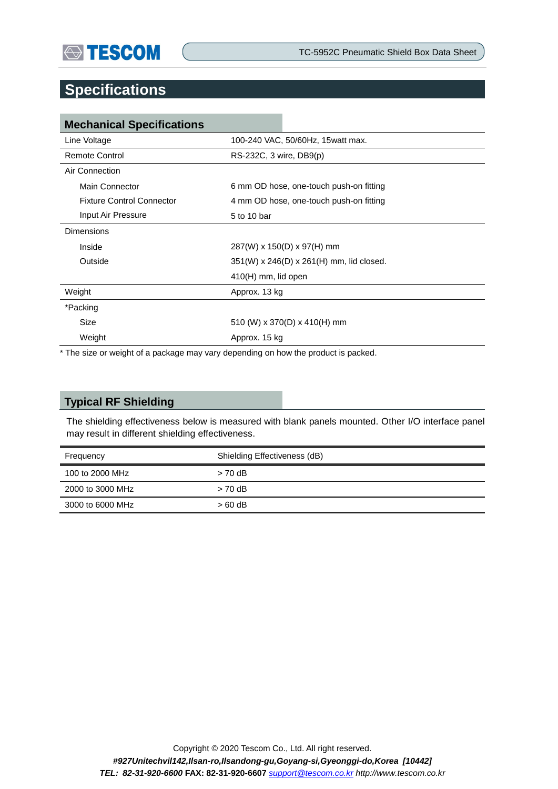

## **Specifications**

| <b>Mechanical Specifications</b> |                                          |  |
|----------------------------------|------------------------------------------|--|
| Line Voltage                     | 100-240 VAC, 50/60Hz, 15watt max.        |  |
| Remote Control                   | RS-232C, 3 wire, DB9(p)                  |  |
| Air Connection                   |                                          |  |
| Main Connector                   | 6 mm OD hose, one-touch push-on fitting  |  |
| <b>Fixture Control Connector</b> | 4 mm OD hose, one-touch push-on fitting  |  |
| Input Air Pressure               | 5 to 10 bar                              |  |
| <b>Dimensions</b>                |                                          |  |
| Inside                           | $287(W)$ x 150(D) x 97(H) mm             |  |
| Outside                          | 351(W) x 246(D) x 261(H) mm, lid closed. |  |
|                                  | $410(H)$ mm, lid open                    |  |
| Weight                           | Approx. 13 kg                            |  |
| *Packing                         |                                          |  |
| <b>Size</b>                      | 510 (W) x 370(D) x 410(H) mm             |  |
| Weight                           | Approx. 15 kg                            |  |

\* The size or weight of a package may vary depending on how the product is packed.

#### **Typical RF Shielding**

The shielding effectiveness below is measured with blank panels mounted. Other I/O interface panel may result in different shielding effectiveness.

| Frequency        | Shielding Effectiveness (dB) |  |
|------------------|------------------------------|--|
| 100 to 2000 MHz  | $> 70$ dB                    |  |
| 2000 to 3000 MHz | $> 70$ dB                    |  |
| 3000 to 6000 MHz | $>60$ dB                     |  |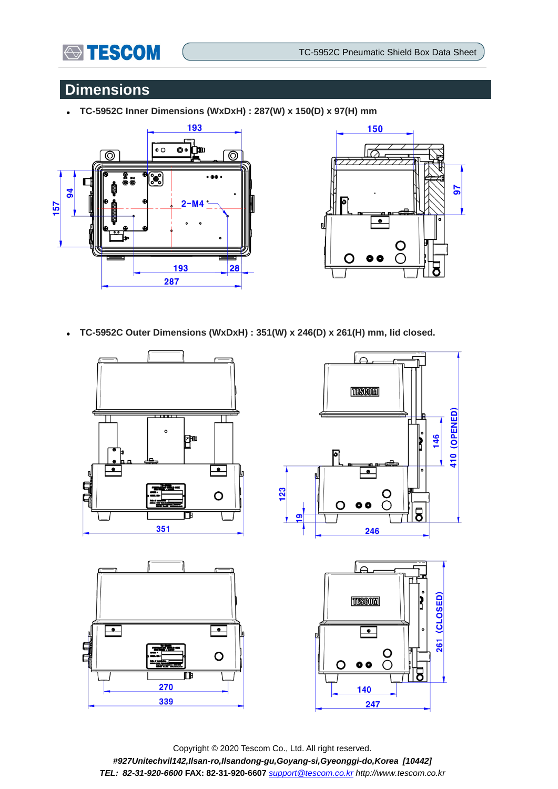

## **Dimensions**

**TC-5952C Inner Dimensions (WxDxH) : 287(W) x 150(D) x 97(H) mm**





**TC-5952C Outer Dimensions (WxDxH) : 351(W) x 246(D) x 261(H) mm, lid closed.**



Copyright © 2020 Tescom Co., Ltd. All right reserved. *#927Unitechvil142,Ilsan-ro,Ilsandong-gu,Goyang-si,Gyeonggi-do,Korea [10442] TEL: 82-31-920-6600* **FAX: 82-31-920-6607** *[support@tescom.co.kr](mailto:support@tescom.co.kr) http://www.tescom.co.kr*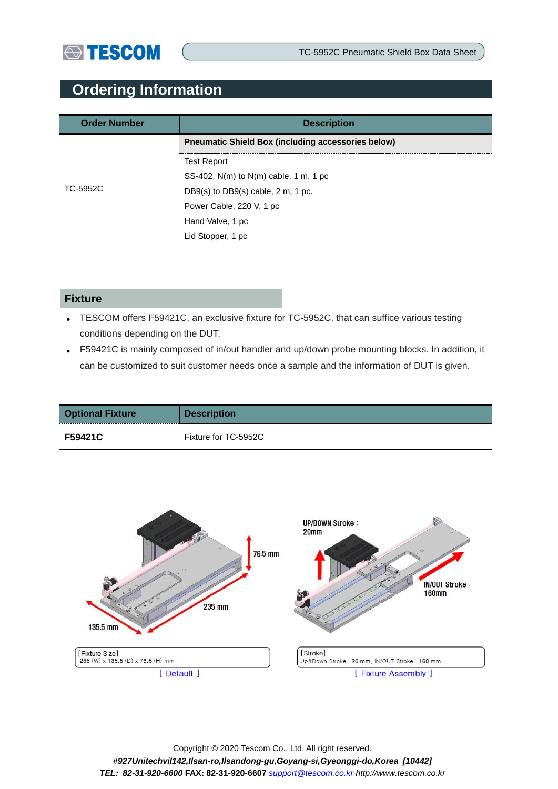## **Ordering Information**

| <b>Order Number</b> | <b>Description</b>                                        |  |
|---------------------|-----------------------------------------------------------|--|
|                     | <b>Preumatic Shield Box (including accessories below)</b> |  |
|                     | <b>Test Report</b>                                        |  |
|                     | SS-402, $N(m)$ to $N(m)$ cable, 1 m, 1 pc                 |  |
| TC-5952C            | DB9(s) to DB9(s) cable, $2 \text{ m}$ , 1 pc.             |  |
|                     | Power Cable, 220 V, 1 pc                                  |  |
|                     | Hand Valve, 1 pc                                          |  |
|                     | Lid Stopper, 1 pc                                         |  |

#### **Fixture**

- TESCOM offers F59421C, an exclusive fixture for TC-5952C, that can suffice various testing conditions depending on the DUT.
- F59421C is mainly composed of in/out handler and up/down probe mounting blocks. In addition, it can be customized to suit customer needs once a sample and the information of DUT is given.

| <b>Optional Fixture</b> | <b>Description</b>   |
|-------------------------|----------------------|
| <b>F59421C</b>          | Fixture for TC-5952C |

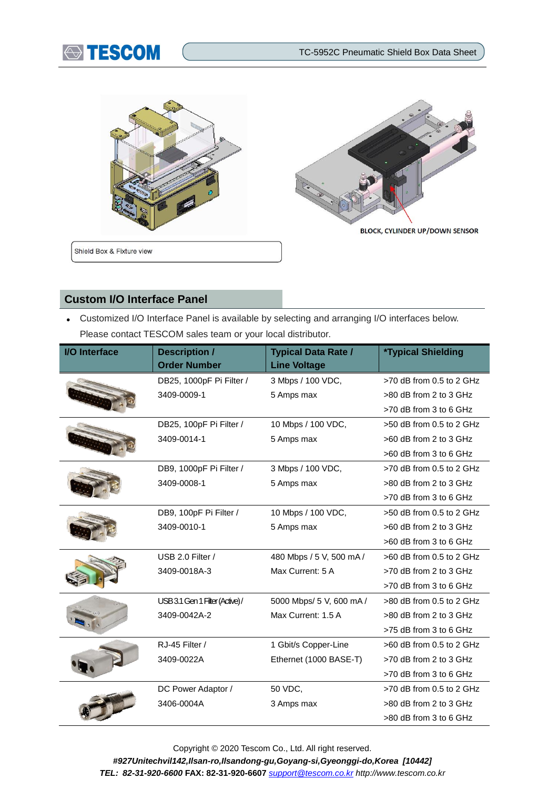





Shield Box & Fixture view

**BLOCK, CYLINDER UP/DOWN SENSOR** 

#### **Custom I/O Interface Panel**

 Customized I/O Interface Panel is available by selecting and arranging I/O interfaces below. Please contact TESCOM sales team or your local distributor.

| I/O Interface | <b>Description /</b><br><b>Order Number</b> | <b>Typical Data Rate /</b><br><b>Line Voltage</b> | <i><b>*Typical Shielding</b></i> |
|---------------|---------------------------------------------|---------------------------------------------------|----------------------------------|
|               | DB25, 1000pF Pi Filter /                    | 3 Mbps / 100 VDC,                                 | >70 dB from 0.5 to 2 GHz         |
|               | 3409-0009-1                                 | 5 Amps max                                        | >80 dB from 2 to 3 GHz           |
|               |                                             |                                                   | >70 dB from 3 to 6 GHz           |
|               | DB25, 100pF Pi Filter /                     | 10 Mbps / 100 VDC,                                | >50 dB from 0.5 to 2 GHz         |
|               | 3409-0014-1                                 | 5 Amps max                                        | >60 dB from 2 to 3 GHz           |
|               |                                             |                                                   | >60 dB from 3 to 6 GHz           |
|               | DB9, 1000pF Pi Filter /                     | 3 Mbps / 100 VDC,                                 | >70 dB from 0.5 to 2 GHz         |
|               | 3409-0008-1                                 | 5 Amps max                                        | >80 dB from 2 to 3 GHz           |
|               |                                             |                                                   | >70 dB from 3 to 6 GHz           |
|               | DB9, 100pF Pi Filter /                      | 10 Mbps / 100 VDC,                                | >50 dB from 0.5 to 2 GHz         |
|               | 3409-0010-1                                 | 5 Amps max                                        | >60 dB from 2 to 3 GHz           |
|               |                                             |                                                   | >60 dB from 3 to 6 GHz           |
|               | USB 2.0 Filter /                            | 480 Mbps / 5 V, 500 mA /                          | $>60$ dB from 0.5 to 2 GHz       |
|               | 3409-0018A-3                                | Max Current: 5 A                                  | >70 dB from 2 to 3 GHz           |
|               |                                             |                                                   | $>70$ dB from 3 to 6 GHz         |
|               | USB 3.1 Gen 1 Filter (Active)/              | 5000 Mbps/ 5 V, 600 mA /                          | $>80$ dB from 0.5 to 2 GHz       |
|               | 3409-0042A-2                                | Max Current: 1.5 A                                | >80 dB from 2 to 3 GHz           |
|               |                                             |                                                   | >75 dB from 3 to 6 GHz           |
|               | RJ-45 Filter /                              | 1 Gbit/s Copper-Line                              | $>60$ dB from 0.5 to 2 GHz       |
|               | 3409-0022A                                  | Ethernet (1000 BASE-T)                            | >70 dB from 2 to 3 GHz           |
|               |                                             |                                                   | >70 dB from 3 to 6 GHz           |
|               | DC Power Adaptor /                          | 50 VDC,                                           | >70 dB from 0.5 to 2 GHz         |
|               | 3406-0004A                                  | 3 Amps max                                        | >80 dB from 2 to 3 GHz           |
|               |                                             |                                                   | >80 dB from 3 to 6 GHz           |

Copyright © 2020 Tescom Co., Ltd. All right reserved. *#927Unitechvil142,Ilsan-ro,Ilsandong-gu,Goyang-si,Gyeonggi-do,Korea [10442] TEL: 82-31-920-6600* **FAX: 82-31-920-6607** *[support@tescom.co.kr](mailto:support@tescom.co.kr) http://www.tescom.co.kr*